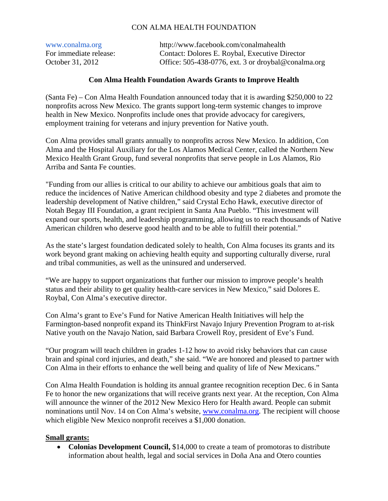## CON ALMA HEALTH FOUNDATION

| www.conalma.org        | http://www.facebook.com/conalmahealth                  |
|------------------------|--------------------------------------------------------|
| For immediate release: | Contact: Dolores E. Roybal, Executive Director         |
| October 31, 2012       | Office: $505-438-0776$ , ext. 3 or droybal@conalma.org |

## **Con Alma Health Foundation Awards Grants to Improve Health**

(Santa Fe) – Con Alma Health Foundation announced today that it is awarding \$250,000 to 22 nonprofits across New Mexico. The grants support long-term systemic changes to improve health in New Mexico. Nonprofits include ones that provide advocacy for caregivers, employment training for veterans and injury prevention for Native youth.

Con Alma provides small grants annually to nonprofits across New Mexico. In addition, Con Alma and the Hospital Auxiliary for the Los Alamos Medical Center, called the Northern New Mexico Health Grant Group, fund several nonprofits that serve people in Los Alamos, Rio Arriba and Santa Fe counties.

"Funding from our allies is critical to our ability to achieve our ambitious goals that aim to reduce the incidences of Native American childhood obesity and type 2 diabetes and promote the leadership development of Native children," said Crystal Echo Hawk, executive director of Notah Begay III Foundation, a grant recipient in Santa Ana Pueblo. "This investment will expand our sports, health, and leadership programming, allowing us to reach thousands of Native American children who deserve good health and to be able to fulfill their potential."

As the state's largest foundation dedicated solely to health, Con Alma focuses its grants and its work beyond grant making on achieving health equity and supporting culturally diverse, rural and tribal communities, as well as the uninsured and underserved.

"We are happy to support organizations that further our mission to improve people's health status and their ability to get quality health-care services in New Mexico," said Dolores E. Roybal, Con Alma's executive director.

Con Alma's grant to Eve's Fund for Native American Health Initiatives will help the Farmington-based nonprofit expand its ThinkFirst Navajo Injury Prevention Program to at-risk Native youth on the Navajo Nation, said Barbara Crowell Roy, president of Eve's Fund.

"Our program will teach children in grades 1-12 how to avoid risky behaviors that can cause brain and spinal cord injuries, and death," she said. "We are honored and pleased to partner with Con Alma in their efforts to enhance the well being and quality of life of New Mexicans."

Con Alma Health Foundation is holding its annual grantee recognition reception Dec. 6 in Santa Fe to honor the new organizations that will receive grants next year. At the reception, Con Alma will announce the winner of the 2012 New Mexico Hero for Health award. People can submit nominations until Nov. 14 on Con Alma's website, www.conalma.org. The recipient will choose which eligible New Mexico nonprofit receives a \$1,000 donation.

## **Small grants:**

• Colonias Development Council, \$14,000 to create a team of promotoras to distribute information about health, legal and social services in Doña Ana and Otero counties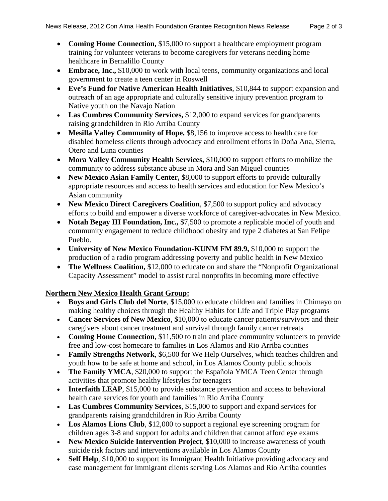- **Coming Home Connection,** \$15,000 to support a healthcare employment program training for volunteer veterans to become caregivers for veterans needing home healthcare in Bernalillo County
- **Embrace, Inc.,** \$10,000 to work with local teens, community organizations and local government to create a teen center in Roswell
- **Eve's Fund for Native American Health Initiatives**, \$10,844 to support expansion and outreach of an age appropriate and culturally sensitive injury prevention program to Native youth on the Navajo Nation
- **Las Cumbres Community Services,** \$12,000 to expand services for grandparents raising grandchildren in Rio Arriba County
- **Mesilla Valley Community of Hope,** \$8,156 to improve access to health care for disabled homeless clients through advocacy and enrollment efforts in Doña Ana, Sierra, Otero and Luna counties
- **Mora Valley Community Health Services,** \$10,000 to support efforts to mobilize the community to address substance abuse in Mora and San Miguel counties
- New Mexico Asian Family Center, \$8,000 to support efforts to provide culturally appropriate resources and access to health services and education for New Mexico's Asian community
- **New Mexico Direct Caregivers Coalition**, \$7,500 to support policy and advocacy efforts to build and empower a diverse workforce of caregiver-advocates in New Mexico.
- Notah Begay III Foundation, Inc., \$7,500 to promote a replicable model of youth and community engagement to reduce childhood obesity and type 2 diabetes at San Felipe Pueblo.
- **University of New Mexico Foundation-KUNM FM 89.9,** \$10,000 to support the production of a radio program addressing poverty and public health in New Mexico
- The Wellness Coalition, \$12,000 to educate on and share the "Nonprofit Organizational" Capacity Assessment" model to assist rural nonprofits in becoming more effective

## **Northern New Mexico Health Grant Group:**

- **Boys and Girls Club del Norte**, \$15,000 to educate children and families in Chimayo on making healthy choices through the Healthy Habits for Life and Triple Play programs
- **Cancer Services of New Mexico**, \$10,000 to educate cancer patients/survivors and their caregivers about cancer treatment and survival through family cancer retreats
- **Coming Home Connection**, \$11,500 to train and place community volunteers to provide free and low-cost homecare to families in Los Alamos and Rio Arriba counties
- **Family Strengths Network**, \$6,500 for We Help Ourselves, which teaches children and youth how to be safe at home and school, in Los Alamos County public schools
- The Family YMCA, \$20,000 to support the Española YMCA Teen Center through activities that promote healthy lifestyles for teenagers
- **Interfaith LEAP**, \$15,000 to provide substance prevention and access to behavioral health care services for youth and families in Rio Arriba County
- **Las Cumbres Community Services**, \$15,000 to support and expand services for grandparents raising grandchildren in Rio Arriba County
- **Los Alamos Lions Club**, \$12,000 to support a regional eye screening program for children ages 3-8 and support for adults and children that cannot afford eye exams
- **New Mexico Suicide Intervention Project**, \$10,000 to increase awareness of youth suicide risk factors and interventions available in Los Alamos County
- **Self Help**, \$10,000 to support its Immigrant Health Initiative providing advocacy and case management for immigrant clients serving Los Alamos and Rio Arriba counties